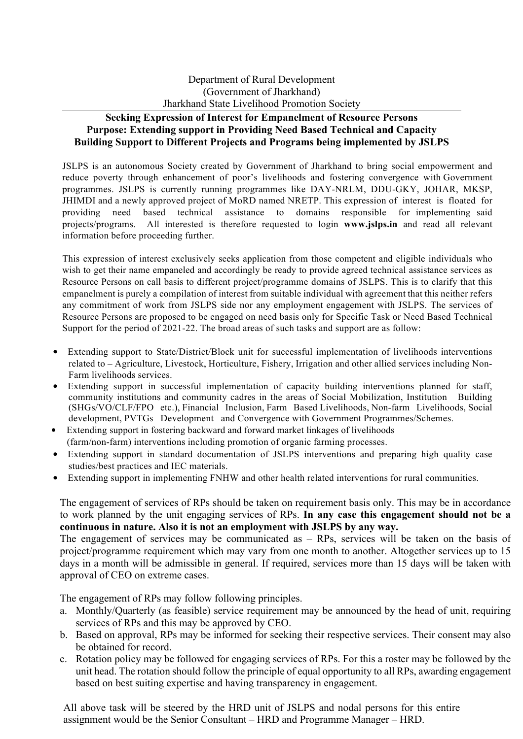## **Seeking Expression of Interest for Empanelment of Resource Persons Purpose: Extending support in Providing Need Based Technical and Capacity Building Support to Different Projects and Programs being implemented by JSLPS**

JSLPS is an autonomous Society created by Government of Jharkhand to bring social empowerment and reduce poverty through enhancement of poor's livelihoods and fostering convergence with Government programmes. JSLPS is currently running programmes like DAY-NRLM, DDU-GKY, JOHAR, MKSP, JHIMDI and a newly approved project of MoRD named NRETP. This expression of interest is floated for providing need based technical assistance to domains responsible for implementing said projects/programs. All interested is therefore requested to login **www.jslps.in** and read all relevant information before proceeding further.

This expression of interest exclusively seeks application from those competent and eligible individuals who wish to get their name empaneled and accordingly be ready to provide agreed technical assistance services as Resource Persons on call basis to different project/programme domains of JSLPS. This is to clarify that this empanelment is purely a compilation of interest from suitable individual with agreement that this neither refers any commitment of work from JSLPS side nor any employment engagement with JSLPS. The services of Resource Persons are proposed to be engaged on need basis only for Specific Task or Need Based Technical Support for the period of 2021-22. The broad areas of such tasks and support are as follow:

- Extending support to State/District/Block unit for successful implementation of livelihoods interventions related to – Agriculture, Livestock, Horticulture, Fishery, Irrigation and other allied services including Non-Farm livelihoods services.
- Extending support in successful implementation of capacity building interventions planned for staff, community institutions and community cadres in the areas of Social Mobilization, Institution Building (SHGs/VO/CLF/FPO etc.), Financial Inclusion, Farm Based Livelihoods, Non-farm Livelihoods, Social development, PVTGs Development and Convergence with Government Programmes/Schemes.
- Extending support in fostering backward and forward market linkages of livelihoods (farm/non-farm) interventions including promotion of organic farming processes.
- Extending support in standard documentation of JSLPS interventions and preparing high quality case studies/best practices and IEC materials.
- Extending support in implementing FNHW and other health related interventions for rural communities.

The engagement of services of RPs should be taken on requirement basis only. This may be in accordance to work planned by the unit engaging services of RPs. **In any case this engagement should not be a continuous in nature. Also it is not an employment with JSLPS by any way.**

The engagement of services may be communicated as – RPs, services will be taken on the basis of project/programme requirement which may vary from one month to another. Altogether services up to 15 days in a month will be admissible in general. If required, services more than 15 days will be taken with approval of CEO on extreme cases.

The engagement of RPs may follow following principles.

- a. Monthly/Quarterly (as feasible) service requirement may be announced by the head of unit, requiring services of RPs and this may be approved by CEO.
- b. Based on approval, RPs may be informed for seeking their respective services. Their consent may also be obtained for record.
- c. Rotation policy may be followed for engaging services of RPs. For this a roster may be followed by the unit head. The rotation should follow the principle of equal opportunity to all RPs, awarding engagement based on best suiting expertise and having transparency in engagement.

All above task will be steered by the HRD unit of JSLPS and nodal persons for this entire assignment would be the Senior Consultant – HRD and Programme Manager – HRD.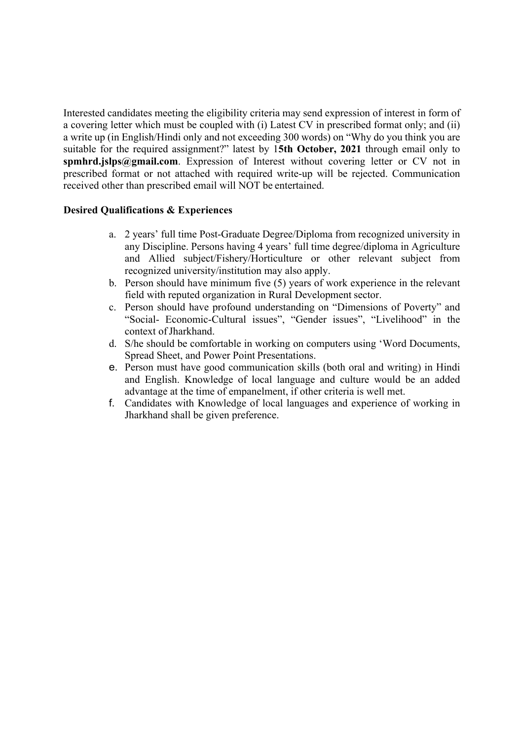Interested candidates meeting the eligibility criteria may send expression of interest in form of a covering letter which must be coupled with (i) Latest CV in prescribed format only; and (ii) a write up (in English/Hindi only and not exceeding 300 words) on "Why do you think you are suitable for the required assignment?" latest by 1**5th October, 2021** through email only to **spmhrd.jslps@gmail.com**. Expression of Interest without covering letter or CV not in prescribed format or not attached with required write-up will be rejected. Communication received other than prescribed email will NOT be entertained.

## **Desired Qualifications & Experiences**

- a. 2 years' full time Post-Graduate Degree/Diploma from recognized university in any Discipline. Persons having 4 years' full time degree/diploma in Agriculture and Allied subject/Fishery/Horticulture or other relevant subject from recognized university/institution may also apply.
- b. Person should have minimum five (5) years of work experience in the relevant field with reputed organization in Rural Development sector.
- c. Person should have profound understanding on "Dimensions of Poverty" and "Social- Economic-Cultural issues", "Gender issues", "Livelihood" in the context of Jharkhand.
- d. S/he should be comfortable in working on computers using 'Word Documents, Spread Sheet, and Power Point Presentations.
- e. Person must have good communication skills (both oral and writing) in Hindi and English. Knowledge of local language and culture would be an added advantage at the time of empanelment, if other criteria is well met.
- f. Candidates with Knowledge of local languages and experience of working in Jharkhand shall be given preference.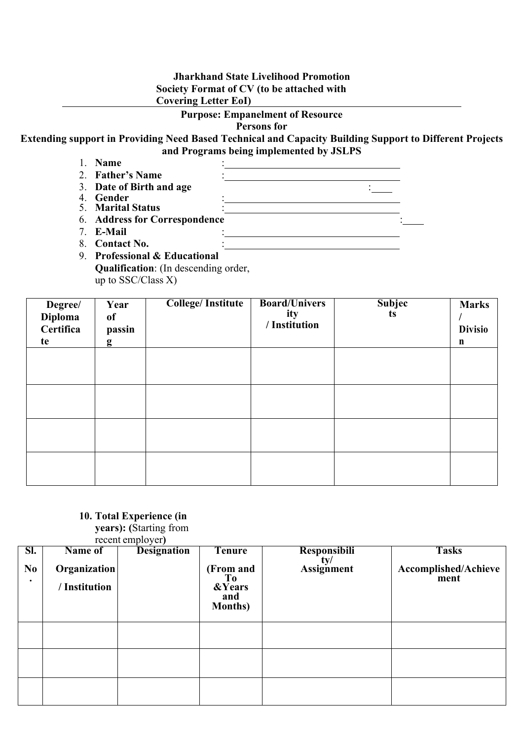## **Jharkhand State Livelihood Promotion Society Format of CV (to be attached with Covering Letter EoI)**

#### **Purpose: Empanelment of Resource**

**Persons for**

**Extending support in Providing Need Based Technical and Capacity Building Support to Different Projects and Programs being implemented by JSLPS**

- 1. **Name** :
- 2. **Father's Name** :
- 3. **Date of Birth and age** :
- 4. **Gender** :
- 5. **Marital Status** :
- 6. **Address for Correspondence** :
- 7. **E-Mail** :
- 8. **Contact No.**
- 9. **Professional & Educational Qualification**: (In descending order, up to SSC/Class X)

| Degree/<br><b>Diploma</b><br>Certifica<br>te | Year<br><b>of</b><br>passin<br>g | <b>College/Institute</b> | <b>Board/Univers</b><br>ity<br>/ Institution | <b>Subjec</b><br>ts | <b>Marks</b><br><b>Divisio</b><br>$\mathbf n$ |
|----------------------------------------------|----------------------------------|--------------------------|----------------------------------------------|---------------------|-----------------------------------------------|
|                                              |                                  |                          |                                              |                     |                                               |
|                                              |                                  |                          |                                              |                     |                                               |
|                                              |                                  |                          |                                              |                     |                                               |
|                                              |                                  |                          |                                              |                     |                                               |

# **10. Total Experience (in**

**years): (**Starting from recent employer**)**

|                             | <b>ICCUIL CHIPIOYCI</b>       |                    |                                                                            |                                |                              |  |  |  |
|-----------------------------|-------------------------------|--------------------|----------------------------------------------------------------------------|--------------------------------|------------------------------|--|--|--|
| SI.                         | Name of                       | <b>Designation</b> | Tenure                                                                     | <b>Responsibili</b>            | <b>Tasks</b>                 |  |  |  |
| N <sub>0</sub><br>$\bullet$ | Organization<br>/ Institution |                    | (From and<br>T <sub>0</sub><br><b>&amp;Years</b><br>and<br><b>Months</b> ) | $\frac{ty}{\text{Assignment}}$ | Accomplished/Achieve<br>ment |  |  |  |
|                             |                               |                    |                                                                            |                                |                              |  |  |  |
|                             |                               |                    |                                                                            |                                |                              |  |  |  |
|                             |                               |                    |                                                                            |                                |                              |  |  |  |
|                             |                               |                    |                                                                            |                                |                              |  |  |  |
|                             |                               |                    |                                                                            |                                |                              |  |  |  |
|                             |                               |                    |                                                                            |                                |                              |  |  |  |
|                             |                               |                    |                                                                            |                                |                              |  |  |  |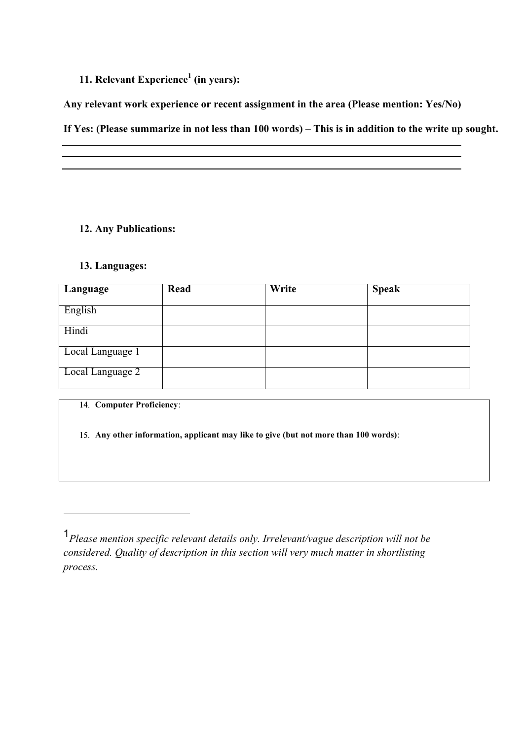## **11. Relevant Experience<sup>1</sup> (in years):**

**Any relevant work experience or recent assignment in the area (Please mention: Yes/No)**

**If Yes: (Please summarize in not less than 100 words) – This is in addition to the write up sought.**

## **12. Any Publications:**

### **13. Languages:**

| Language         | Read | Write | <b>Speak</b> |
|------------------|------|-------|--------------|
| English          |      |       |              |
| Hindi            |      |       |              |
| Local Language 1 |      |       |              |
| Local Language 2 |      |       |              |

**Computer Proficiency**:

**Any other information, applicant may like to give (but not more than 100 words)**:

<sup>1</sup>*Please mention specific relevant details only. Irrelevant/vague description will not be considered. Quality of description in this section will very much matter in shortlisting process.*